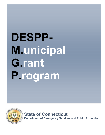# $\overline{\phantom{a}}$ **DESPP-M.unicipal G.rant P.rogram**



**State of Connecticut Department of Emergency Services and Public Protection**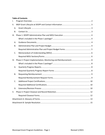#### **Table of Contents**

| I.        |  |  |  |  |  |
|-----------|--|--|--|--|--|
| ΙΙ.       |  |  |  |  |  |
| A.        |  |  |  |  |  |
| Β.        |  |  |  |  |  |
|           |  |  |  |  |  |
|           |  |  |  |  |  |
| Α.        |  |  |  |  |  |
| Β.        |  |  |  |  |  |
|           |  |  |  |  |  |
| C.        |  |  |  |  |  |
|           |  |  |  |  |  |
| IV.       |  |  |  |  |  |
|           |  |  |  |  |  |
| Α.        |  |  |  |  |  |
|           |  |  |  |  |  |
| <b>B.</b> |  |  |  |  |  |
|           |  |  |  |  |  |
| C.        |  |  |  |  |  |
|           |  |  |  |  |  |
| D.        |  |  |  |  |  |
| V.        |  |  |  |  |  |
|           |  |  |  |  |  |
|           |  |  |  |  |  |
|           |  |  |  |  |  |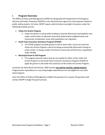## **I. Program Overview**

The Office of Policy and Management (OPM) has designated the Department of Emergency Services and Public Protection (DESPP) as the administrative agency for bond awards related to public safety projects. At times, DESPP is given administrative oversight of projects under the following funding sources:

- **Urban Act Grants Program** 
	- o Urban Act grants‐in‐aid provide funding to severely distressed municipalities and urban communities to alleviate excessively deteriorated neighborhoods and community revitalization areas with population‐out migration.
- **Small Town Economic Assistance Program (STEAP)** 
	- o The STEAP program provides grants‐in‐aid to towns that: (a) do not meet the Urban Act Grants Program criteria for being economically distressed, having an urban center, or being a public investment community and (b) have a population under 30,000.
- **Municipal Grant‐In Aid Program** 
	- o This program permits towns that do not qualify for either of the Urban Act Grants Program or the Small Town Economic Assistance Program (STEAP) to apply for grants‐in‐aid under the provisions of the Urban Act Grants Program.

Issued by the State Bond Commission, MGP awards *can only be used for capital projects.* Programmatic expenditures or recurring budget expenditures are not eligible for any state bond program.

Once the Office of Policy of Management notifies the grantee of an award, the grantee shall contact DESPP to begin the grant process.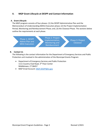## **II. MGP Grant Lifecycle at DESPP and Contact Information**

#### **A. Grant Lifecycle**

The MGP program consists of four phases: (1) the DESPP Administrative Plan and the Memorandum of Understanding (MOU) Execution phase; (2) the Project Implementation Period, Monitoring and Reimbursement Phase; and, (3) the Closeout Phase. The sections below outline the requirements at each phase.

Phase 1: DESPP Admin Plan and MOU Execution

Phase 2: Project Implementation, Monitoring and Reimbursment

Phase 3: Project Closeout

#### **B. Contact Us**

The following is the contact information for the Department of Emergency Services and Public Protection unit involved in the administration of the Municipal Grants Program:

- Department of Emergency Services and Public Protection 1111 Country Club Road, 3rd Floor Center Middletown, CT 06457
- MGP Email Account: MGP.DESPP@ct.gov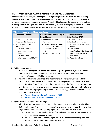## **III. Phase 1: DESPP Administrative Plan and MOU Execution**

Once the Office of Policy and Management assigns the grant to DESPP as the administering agency, the Grantee's Chief Executive Officer will receive a package via email containing the necessary documents required to execute Phase 1 which includes the steps/forms to obligate funding, clarify funding sources and the project budget, identify the project points of contact, outline the project timeline and ensure the Grantee is aware of all program guidance.

| What's included in the Phase 1 package? |                                       |                                     |  |
|-----------------------------------------|---------------------------------------|-------------------------------------|--|
| A. Guidance Documents                   | <b>B. Administrative Plan/Project</b> | C. Memorandum of                    |  |
|                                         | <b>Budget Forms</b>                   | <b>Understanding (MOU)</b>          |  |
| 1. DESPP STEAP Program                  | 1. Administrative Plan                | 1. Memorandum of                    |  |
| Guidance (this document)                | Template                              | <b>Understanding Document</b>       |  |
| 2. Bidding and Contract                 | a. Grantee Point of Contact           | a. Attachment A: Executive          |  |
| Guidance                                | and Administrative Plan               | Orders                              |  |
| a. Personal Services                    | Approval Form (DPS-204-               | b. Attachment B:                    |  |
| Information under                       | C)                                    | <b>Certifications (Not Required</b> |  |
| \$50,000                                | 2. Project Budget Forms               | at this time shared for             |  |
| b. Personal Service                     |                                       | awareness)                          |  |
| Information over \$50,000               |                                       | <b>Authorizing Resolution</b><br>2. |  |
|                                         |                                       |                                     |  |

#### **A. Guidance Documents**

- 1. **DESPP STEAP Program Guidance** (this document): This guidance lays out the process utilized to successfully complete and execute your grant with the Department of Emergency Services and Public Protection.
- 2. **Bidding and Contract Guidance:** The Department of Emergency Service and Public Protection does not review or approve Grantee bidding documents or contracts related to the Municipal Grant Program. It is the responsibility of the Grantee, in collaboration with its legal counsel, to ensure your project complies with all relevant local, state, and federal laws and/or program requirements. The following guidance is provided to assist with your bidding process.
	- a. Personal Services Information under \$50,000
	- b. Personal Service Information over \$50,000

#### **B. Administrative Plan and Project Budget**

- 1. **Administrative Plan:** Grantees are required to prepare a project Administrative Plan that describes how it will manage, document, and monitor and oversee the financial and programmatic elements of the grant project. The purpose of the plan is to:
	- o Ensure that the Grantee has the staffing and organizational resources available to manage the proposed project.
	- o Assure the completion of the project within the approved Financing Plan and Budget with the appropriate use of state funds.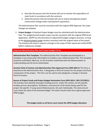- o Describe the process that the Grantee will use to monitor the expenditure of state funds in accordance with the contracts.
- o Detail the process that the Grantee will use to review and approve project construction change orders and payment requisitions.

The Administrative Plan must be consistent with the original OPM Approval. No scope changes are allowed.

2. **Project Budget:** A finalized Project Budget must be submitted with the Administrative Plan. The budget/overall project scope must be consistent with the original OPM Grant Application. DESPP has the discretion to adjust/shift budget category amounts, so long as the physical project scope remains consistent with the original intent of the award. The Grantee will need to request a change in the scope of their award and notify DESPP before making any changes

#### **Required Administrative Plan and Project Budget Forms**

**Administrative Plan Template:** The Administrative Plan Template was developed as a template so you know what information to include in your Administrative Plan. This template should be submitted, filled out, on the Grantee's letterhead with the Memorandum of Understanding and the forms listed below.

**Grantee Point of Contact and Administrative Plan Approval Form (DPS‐204‐C):** This form is attached to the Administrative Plan. It designates a Point of Contact for the project and fiscal components of the project. This form can be used to also designate a change in Grantee Point of Contact.

**Source of Project Funds and Project Budget Itemization Form (DPS‐203‐C‐ REV 2/2/2021):**  The Grantee must identify *all* project funding sources. Under this section, list the specific funding sources, descriptions, limitations, and amounts of all monies being used for this project. Be specific. If using several federal grants, list each individually. The total amount must match the total of the itemized budget. The totals should match the original approved OPM budget.

**The budget totals on all forms must match the OPM budget allocation.**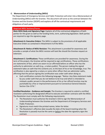#### **C. Memorandum of Understanding (MOU)**

The Department of Emergency Services and Public Protection will enter into a Memorandum of Understanding (MOU) with the Grantee. This document will serve as the contract between the Grantee and the Grantor (DESPP) and explains all off the contractual requirements and obligations of each party.

#### **Required MOU Sections/Forms**

**Main MOU Body and Signatory Page:** Explains all of the contractual obligations of both parties for this grant as well as the funding limits, term, authorizing legislation. Both parties are required to sign the signatory page.

**Attachment A: Executive Orders:** This MOU is subject to the provisions of all applicable Executive Orders as contained in Attachment A of the MOU.

**Attachment B: Notice of MOU Revision:** This attachment is provided for awareness and provides a sample of what the MOU revision will look like should the Grantee request an extension.

**Attachment C: Certifications:** These certifications are provided for awareness. During the term of the project, the Grantee will be required to sign certifications. These certifications are statements of fact, which are sworn to (or affirmed) before an officer who has the authority to administer an oath (e.g., a notary public). The person making the signed statement takes an oath that the contents are, to the best of his or her knowledge, true. The certification is also signed by a notary or some other officer that can administer oaths, affirming that the person signing the certification was under oath when doing so.

 Each certification contains the following language: "Notice: Any false statement made by you under oath that you do not believe to be true and which is intended to mislead a public servant in the performance of his or her official function may be punishable by a fine or imprisonment pursuant to Connecticut General Statutes Section 53a‐157b.".

**Certified Resolution ‐ Guidance and Sample:** The Grantee is required to submit a certified resolution authorizing the designated official to execute and deliver contracts with the MOU. The Resolution must comply with the following requirements:

- The Resolution must authorize the Grantee's CEO to sign the Memorandum of Understanding between the Grantee and the Department of Emergency Services and Public Protection.
- Signatures must match the printed names, letter-for-letter.
- The Resolution's effective date (usually the date of the board meeting when the Resolution is passed) must be the same or before the date the signatory signs the contract.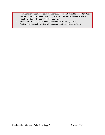- The Resolution must be sealed. If the Grantee's seal is not available, the letters "L.S." must be printed after the secretary's signature and the words "No seal available" must be printed at the bottom of the Resolution.
- All signatures must have the name typed underneath the signature.
- The text must be neatly printed with no erasures, strike outs, or white out.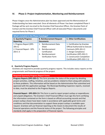### **IV. Phase 2: Project Implementation, Monitoring and Reimbursement**

Phase II begins once the Administrative plan has been approved and the Memorandum of Understanding has been executed. Once all elements of Phase I has been completed Phase II Package will be sent via email to the Grantee Chief Executive Officer, the Grantee Point of Contact and the Grantee Chief Financial Officer with all executed Phase I documents and required forms for Phase 2.

| What's included in the Phase 2 package?          |                                                     |                                       |  |  |
|--------------------------------------------------|-----------------------------------------------------|---------------------------------------|--|--|
| <b>A. Quarterly Progress</b><br><b>Reporting</b> | <b>B. Reimbursement Request</b><br><b>Documents</b> | <b>C. Other Certifications</b>        |  |  |
|                                                  |                                                     |                                       |  |  |
| 1. Progress Report (DPS-                         | 1. Reimbursement Data                               | 1. Certification by Grantee           |  |  |
| $205-C$                                          | Sheet                                               | <b>Official Authorized to Execute</b> |  |  |
| 2. Financial Report - DPS-                       | 2. Reimbursement                                    | Contracts (DPS-201-C)                 |  |  |
| $203 - C - 3$                                    | Certification                                       | 2. Design Compliance                  |  |  |
|                                                  | Reimbursement<br>3.                                 | Certification (DPS-202-C)             |  |  |
|                                                  | <b>Verification Form</b>                            | 3. Construction Completion            |  |  |
|                                                  |                                                     | Certification (DPS-202-C-1)           |  |  |

#### **A. Quarterly Progress Reports**

Grantees are required to provide quarterly progress reports. This includes status reports on the programmatic and financial progress of the project.

#### **Required Quarterly Progress Report Forms**

**Progress Reports (DPS‐205‐C):** This form provides the status of the project by detailing project activities, staffing, timelines, and any problems related to them along with solutions to these problems. This information will be based on the Administrative Plan submitted and approved with the application package. The Municipal Building Inspectors reports, received to date, must be attached to the Progress Reports.

**Financial Report ‐ DPS‐203‐C‐3:** This form is used to report project outlays or expenditures and unpaid obligations. The Grantee's Chief Financial Officer must sign this form certifying the information contained on the form is based on official accounting records and that project outlays shown have been made in accordance with applicable grant terms and conditions and that documentation to support these project outlays is available upon request. Grantees will use financial reporting as the means to document the results of financial operations and the financial status of the project. The following principles and standards shall apply in the preparation of financial reports.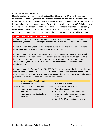#### **B. Requesting Reimbursement**

State funds distributed through the Municipal Grant Program (MGP) are disbursed on a reimbursement basis only for allowable expenditures incurred between the start and end dates of the contract, for which the grantee has already paid. Payment increments are specified in the Memorandum of Understanding (MOU). The Grantee may submit up to two (2) Reimbursement Requests. Final reimbursement will be made after documentation of the total project costs, which includes documentation of the municipal share of the project, is submitted. If the grantee match is larger than the state share of the grant, only one request will be accepted.

#### **Required Reimbursement Request Forms**

All four documents are required for reimbursement. No payments will be processed if any of these forms, reports, or supporting documentation are missing, incomplete or incorrect.

**Reimbursement Data Sheet:** This document is the cover sheet for your reimbursement request and summarizes the amounts requested in your request.

**Reimbursement Certification: DPS‐200‐C:** The Certifications are included in the Original MOU Attachment B. The Grantee's CEO certifies the conditions for reimbursement have been met and supporting documentation is accurate and complete. When the project is 100% complete, the Grantee must submit the Certificate of Occupancy before final reimbursement.

**Reimbursement Verification Form ‐ DPS‐203‐C‐4:** This form provides the details for the total amount listed on Column 2b of the Financial Report. Copies of all supporting documentation must be attached to this form. Documentation incudes detailed vendor invoices and Grantee payment documents. See chart below for more information.

| B. Proof of Payment                                                                                                                                                                                          |
|--------------------------------------------------------------------------------------------------------------------------------------------------------------------------------------------------------------|
| May consist of one of the following:<br>Cancelled check<br><b>Municipal Financial System Report</b><br>showing vendor name, amount paid,<br>date paid, and check number<br>Credit Card Statement and payment |
|                                                                                                                                                                                                              |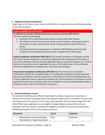#### **C. Additional Project Certifications**

Depending on the status of your project certifications are required to be submitted depending on the type of project**.** 

#### **Required Additional Certifications**

**Certification by Grantee Official Authorized to Execute Contracts (DPS‐201‐C):**  This form certifies the following:

- Grantee's CEO is authorized to execute the contracts with their vendors.
- The selection of the contractor was not the result of collusion, the giving of a gift or the promise of a gift, compensation, fraud, or inappropriate influence from any person.
- All bidding and award requirements as outlined in MGP Bidding and Contracting Guidance and Consulting Guidance has been complied with in this project.

**Design Compliance Certification (DPS‐202‐C):** The Design Compliance Certification certifies the project has been designed in substantial compliance with requirements of the State of Connecticut Building Code and all other applicable codes as required by Chapter 541, General Statutes of Connecticut and all applicable Connecticut Fire Safety Codes. This certification must be completed after the design phase and before the bid phase.

**Construction Completion Certification (DPS‐202‐C‐1):** The Construction Completion Certification certifies the completed project is in substantial compliance with the approved plans and specifications and the requirements of the State of Connecticut Building Code and all other applicable codes as required by Chapter 541, General Statutes of Connecticut and all applicable Connecticut Fire Safety Codes. This certification must be completed before Agency Occupancy and/or with the Certificate of Occupancy.

#### **D. Extension/Revision Process**

The Grantee's Chief Executive Officer should submit a written request for an extension, if needed, not less than ninety days before the expiration date of the current MOU. No more than one extension for the maximum of one year may be granted. Physical scope changes from the initial OPM project application are not eligible; changes between physical line items are allowable. Once the request is reviewed for eligibility by DESPP, the Grantee will submit the following documents as part of the extension process:

| <b>Document</b>              | Doc# | <b>Required</b> |
|------------------------------|------|-----------------|
| Memorandum of Understanding  | N/A  | Required        |
| Amendment (1 Page Amendment) |      |                 |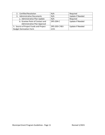| 2. Certified Resolution                | N/A                  | Required                |
|----------------------------------------|----------------------|-------------------------|
| <b>Administrative Documents</b><br>3.  | N/A                  | <b>Update if Needed</b> |
| a. Administrative Plan Update          | N/A                  | Required                |
| b. Grantee Point of Contact and        | <b>DPS-204-C</b>     | <b>Update if Needed</b> |
| Administrative Plan Approval           |                      |                         |
| 5. Source of Project Funds and Project | <b>DPS-203-C REV</b> | <b>Update if Needed</b> |
| <b>Budget Itemization Form</b>         | 2/21                 |                         |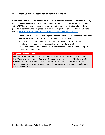## **V. Phase 3: Project Closeout and Record Retention**

Upon completion of your project and payment of your final reimbursement has been made by DESPP, you will receive a Notice of Grant Closeout from DESPP. Once executed your project with DESPP has been completed. After grant closeout, grantees must retain all records for a period not less than what is required pursuant to the regulations prescribed by the CT State Library (https://ctstatelibrary.org/publicrecords/general-schedules-municipal/).

- General Admin Records Grant Program Records, retention is required for 6 years after renewal, termination or final report or audited, whichever is later.
- General Admin Records Contracts, retention is: construction 6 years after completion of project; services and supplies – 3 years after expiration
- Grant Fiscal Records retention is 6 years after renewal, termination or final report or audited, whichever is later.

#### **Required Closeout Forms**

**Notice of Grant Closeout:** This final grant document formally closes out your grant with DESPP and lays out the total actual project cost and any unspent funds. This form must be executed by both the Grantee Agency and the Grantor Agency. This document is used to formally close out the program and authorize the de‐obligation of any remaining funds on the PO DESPP/OPM.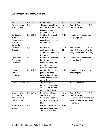## **Attachment A: Glossary of Forms**

| Form                    | Form #           | Description                                   | Pp.    | When to Submit                |
|-------------------------|------------------|-----------------------------------------------|--------|-------------------------------|
| Administrative          | N/A              | This template of the                          | Pp.    | Phase 1: Admin Plan/MOU       |
| Plan template           |                  | sections that should be<br>included in the    | 5,10   | Phase 2: Extension            |
|                         |                  | Administrative Plan.                          |        |                               |
| Certification by        | <b>DPS-201-C</b> | Certifies the project                         | P. 10  | Submission dependent on       |
| <b>Grantee Official</b> |                  | contracts were                                |        | status of project             |
| Authorized to           |                  | executed as specified                         |        |                               |
| Execute                 |                  | on the form.                                  |        |                               |
| Contracts               |                  |                                               |        |                               |
| Certified               | N/A              | Certifies the                                 | Pp. 6, | Phase 1: Admin Plan/MOU       |
| Resolution              |                  | designated official is                        | 11     | Phase 2: Extension/Revision   |
|                         |                  | Authorized to Execute                         |        | (Only If new CEO is in place) |
| Construction            | DPS-202-C-1      | the MOU.<br>Certifies the project is          | P. 10  | Submission dependent on       |
| Completion              |                  | in substantial                                |        | status of project             |
| Certification           |                  | compliance with the                           |        |                               |
|                         |                  | requirements as                               |        |                               |
|                         |                  | detailed on the form.                         |        |                               |
| Design                  | <b>DPS-202-C</b> | Certifies the completed                       | P. 10  | Submission dependent on       |
| Compliance              |                  | project has been                              |        | status of project             |
| Certification           |                  | designed in substantial                       |        |                               |
|                         |                  | compliance as detailed                        |        |                               |
|                         |                  | on the form.                                  |        |                               |
| <b>Financial Report</b> | DPS-203-C-3      | This form is used to                          | P.8    | Phase 2: Monitoring           |
|                         |                  | report project outlays<br>or expenditures and |        |                               |
|                         |                  | unpaid obligations.                           |        |                               |
| <b>Grantee Point</b>    | <b>DPS-204-C</b> | Designates a Project                          | Pp. 5, | Phase 1: Admin Plan/MOU       |
| of Contact and          |                  | and Fiscal Point of                           | 11     | Phase 2: Extension            |
| Administrative          |                  | Contact and approval                          |        | Submitted when changes are    |
| Plan Approval           |                  | of the Administrative                         |        | made to the Grantee Points    |
| Form                    |                  | Plan.                                         |        | of Contact.                   |
| Notice of Grant         | N/A              | Formally closes out the                       | P. 12  |                               |
| Closeout                |                  | grant and deobligates                         |        |                               |
|                         |                  |                                               |        |                               |
|                         |                  | any remaining funds.                          |        |                               |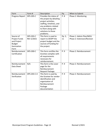| Form                                                                 | Form #           | Description                                                                                                                                                                            | Pp.    | When to Submit              |
|----------------------------------------------------------------------|------------------|----------------------------------------------------------------------------------------------------------------------------------------------------------------------------------------|--------|-----------------------------|
| <b>Progress Report</b>                                               | <b>DPS-205-C</b> | Provides the status of<br>the project by detailing<br>project activities,<br>staffing, timelines, and<br>any problems related<br>to them along with<br>solutions to those<br>problems. | P.8    | Phase 2: Monitoring         |
| Source of                                                            | <b>DPS-203-C</b> | This form is used to                                                                                                                                                                   | Pp. 5, | Phase 1: Admin Plan/MOU     |
| Project Funds<br>and Project<br><b>Budget</b><br>Itemization<br>Form | REV 2/2021       | report to DESPP the<br>project budget and the<br>sources of funding for<br>the project.                                                                                                | 11     | Phase 2: Extension/Revision |
| Reimbursement<br>Certification                                       | DPS-200-C        | This form certifies the<br>Grantee complies with<br>all requirements<br>necessary for<br>reimbursement.                                                                                | P. 9   | Phase 2: Reimbursement      |
| Reimbursement<br>Data Sheet                                          | N/A              | This form is the cover<br>page for the<br>Reimbursement<br>Request Package.                                                                                                            | P. 9   | Phase 2: Reimbursement      |
| Reimbursement<br>Verification                                        | DPS-203-C-4      | This form is used by<br>the Grantee for vendor<br>identification and<br>organization of<br>Reimbursement<br>Package<br>documentation                                                   | P. 9   | Phase 2: Reimbursement      |